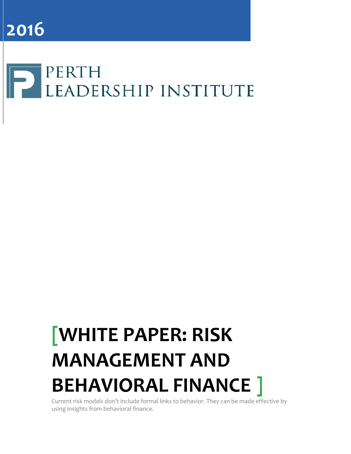

# PERTH<br>LEADERSHIP INSTITUTE

# **[WHITE PAPER: RISK MANAGEMENT AND BEHAVIORAL FINANCE ]**

Current risk models don't include formal links to behavior. They can be made effective by using insights from behavioral finance.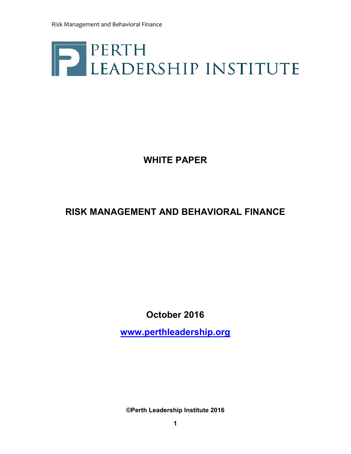# P PERTH<br>LEADERSHIP INSTITUTE

# **WHITE PAPER**

# **RISK MANAGEMENT AND BEHAVIORAL FINANCE**

**October 2016**

**www.perthleadership.org**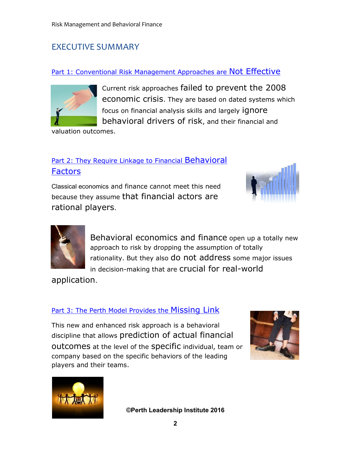# EXECUTIVE SUMMARY

# Part 1: Conventional Risk Management Approaches are Not Effective



Current risk approaches failed to prevent the 2008 economic crisis. They are based on dated systems which focus on financial analysis skills and largely ignore behavioral drivers of risk, and their financial and

valuation outcomes.

# Part 2: They Require Linkage to Financial Behavioral **Factors**

Classical economics and finance cannot meet this need because they assume that financial actors are rational players.





Behavioral economics and finance open up a totally new approach to risk by dropping the assumption of totally rationality. But they also do not address some major issues in decision-making that are crucial for real-world

application.

# Part 3: The Perth Model Provides the Missing Link

This new and enhanced risk approach is a behavioral discipline that allows prediction of actual financial outcomes at the level of the specific individual, team or company based on the specific behaviors of the leading players and their teams.



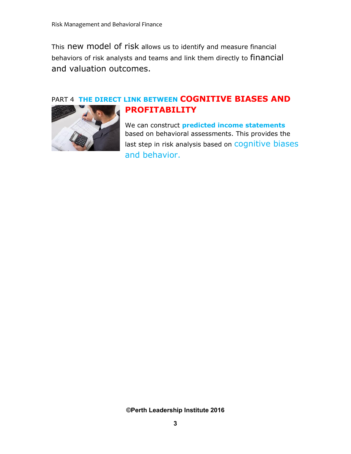This new model of risk allows us to identify and measure financial behaviors of risk analysts and teams and link them directly to financial and valuation outcomes.

# PART 4 **THE DIRECT LINK BETWEEN COGNITIVE BIASES AND PROFITABILITY**

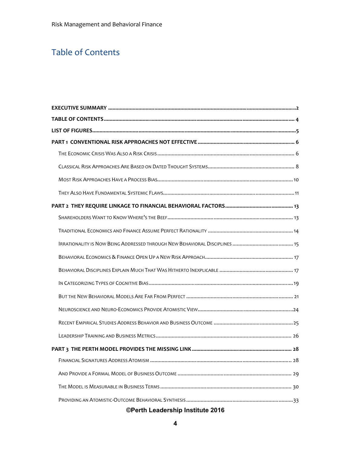# Table of Contents

| 28 |
|----|
|    |
|    |
|    |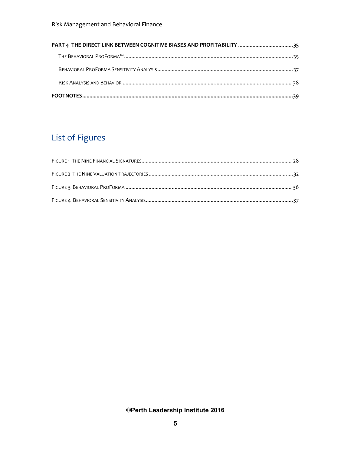# List of Figures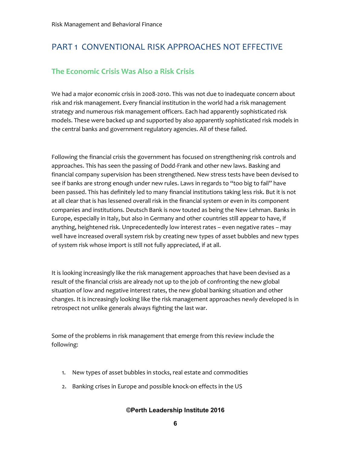# PART 1 CONVENTIONAL RISK APPROACHES NOT EFFECTIVE

# **The Economic Crisis Was Also a Risk Crisis**

We had a major economic crisis in 2008-2010. This was not due to inadequate concern about risk and risk management. Every financial institution in the world had a risk management strategy and numerous risk management officers. Each had apparently sophisticated risk models. These were backed up and supported by also apparently sophisticated risk models in the central banks and government regulatory agencies. All of these failed.

Following the financial crisis the government has focused on strengthening risk controls and approaches. This has seen the passing of Dodd-Frank and other new laws. Basking and financial company supervision has been strengthened. New stress tests have been devised to see if banks are strong enough under new rules. Laws in regards to "too big to fail" have been passed. This has definitely led to many financial institutions taking less risk. But it is not at all clear that is has lessened overall risk in the financial system or even in its component companies and institutions. Deutsch Bank is now touted as being the New Lehman. Banks in Europe, especially in Italy, but also in Germany and other countries still appear to have, if anything, heightened risk. Unprecedentedly low interest rates – even negative rates – may well have increased overall system risk by creating new types of asset bubbles and new types of system risk whose import is still not fully appreciated, if at all.

It is looking increasingly like the risk management approaches that have been devised as a result of the financial crisis are already not up to the job of confronting the new global situation of low and negative interest rates, the new global banking situation and other changes. It is increasingly looking like the risk management approaches newly developed is in retrospect not unlike generals always fighting the last war.

Some of the problems in risk management that emerge from this review include the following:

- 1. New types of asset bubbles in stocks, real estate and commodities
- 2. Banking crises in Europe and possible knock-on effects in the US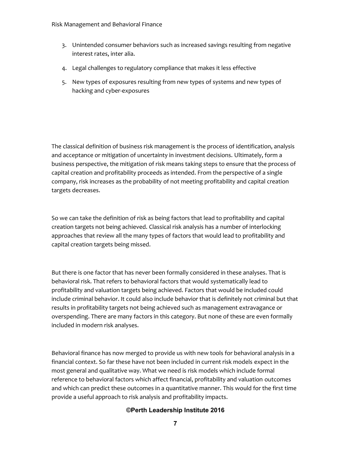#### Risk Management and Behavioral Finance

- 3. Unintended consumer behaviors such as increased savings resulting from negative interest rates, inter alia.
- 4. Legal challenges to regulatory compliance that makes it less effective
- 5. New types of exposures resulting from new types of systems and new types of hacking and cyber-exposures

The classical definition of business risk management is the process of identification, analysis and acceptance or mitigation of uncertainty in investment decisions. Ultimately, form a business perspective, the mitigation of risk means taking steps to ensure that the process of capital creation and profitability proceeds as intended. From the perspective of a single company, risk increases as the probability of not meeting profitability and capital creation targets decreases.

So we can take the definition of risk as being factors that lead to profitability and capital creation targets not being achieved. Classical risk analysis has a number of interlocking approaches that review all the many types of factors that would lead to profitability and capital creation targets being missed.

But there is one factor that has never been formally considered in these analyses. That is behavioral risk. That refers to behavioral factors that would systematically lead to profitability and valuation targets being achieved. Factors that would be included could include criminal behavior. It could also include behavior that is definitely not criminal but that results in profitability targets not being achieved such as management extravagance or overspending. There are many factors in this category. But none of these are even formally included in modern risk analyses.

Behavioral finance has now merged to provide us with new tools for behavioral analysis in a financial context. So far these have not been included in current risk models expect in the most general and qualitative way. What we need is risk models which include formal reference to behavioral factors which affect financial, profitability and valuation outcomes and which can predict these outcomes in a quantitative manner. This would for the first time provide a useful approach to risk analysis and profitability impacts.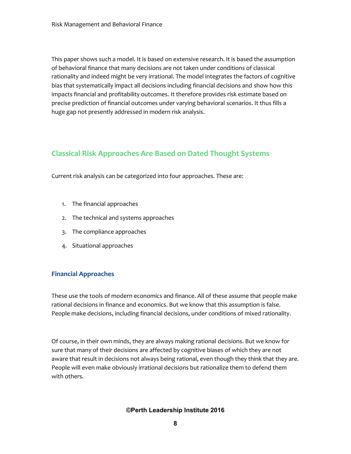This paper shows such a model. It is based on extensive research. It is based the assumption of behavioral finance that many decisions are not taken under conditions of classical rationality and indeed might be very irrational. The model integrates the factors of cognitive bias that systematically impact all decisions including financial decisions and show how this impacts financial and profitability outcomes. It therefore provides risk estimate based on precise prediction of financial outcomes under varying behavioral scenarios. It thus fills a huge gap not presently addressed in modern risk analysis.

# **Classical Risk Approaches Are Based on Dated Thought Systems**

Current risk analysis can be categorized into four approaches. These are:

- 1. The financial approaches
- 2. The technical and systems approaches
- 3. The compliance approaches
- 4. Situational approaches

#### **Financial Approaches**

These use the tools of modern economics and finance. All of these assume that people make rational decisions in finance and economics. But we know that this assumption is false. People make decisions, including financial decisions, under conditions of mixed rationality.

Of course, in their own minds, they are always making rational decisions. But we know for sure that many of their decisions are affected by cognitive biases of which they are not aware that result in decisions not always being rational, even though they think that they are. People will even make obviously irrational decisions but rationalize them to defend them with others.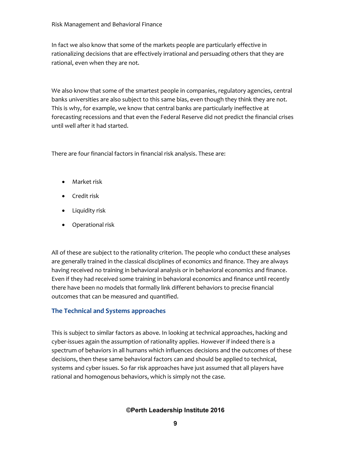In fact we also know that some of the markets people are particularly effective in rationalizing decisions that are effectively irrational and persuading others that they are rational, even when they are not.

We also know that some of the smartest people in companies, regulatory agencies, central banks universities are also subject to this same bias, even though they think they are not. This is why, for example, we know that central banks are particularly ineffective at forecasting recessions and that even the Federal Reserve did not predict the financial crises until well after it had started.

There are four financial factors in financial risk analysis. These are:

- Market risk
- Credit risk
- Liquidity risk
- Operational risk

All of these are subject to the rationality criterion. The people who conduct these analyses are generally trained in the classical disciplines of economics and finance. They are always having received no training in behavioral analysis or in behavioral economics and finance. Even if they had received some training in behavioral economics and finance until recently there have been no models that formally link different behaviors to precise financial outcomes that can be measured and quantified.

# **The Technical and Systems approaches**

This is subject to similar factors as above. In looking at technical approaches, hacking and cyber-issues again the assumption of rationality applies. However if indeed there is a spectrum of behaviors in all humans which influences decisions and the outcomes of these decisions, then these same behavioral factors can and should be applied to technical, systems and cyber issues. So far risk approaches have just assumed that all players have rational and homogenous behaviors, which is simply not the case.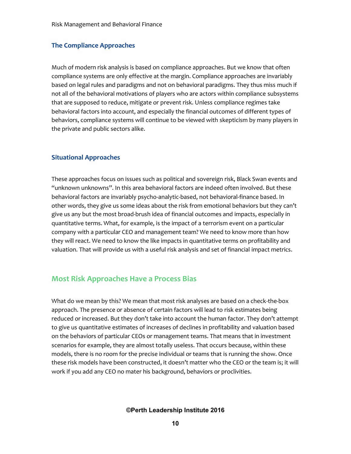#### **The Compliance Approaches**

Much of modern risk analysis is based on compliance approaches. But we know that often compliance systems are only effective at the margin. Compliance approaches are invariably based on legal rules and paradigms and not on behavioral paradigms. They thus miss much if not all of the behavioral motivations of players who are actors within compliance subsystems that are supposed to reduce, mitigate or prevent risk. Unless compliance regimes take behavioral factors into account, and especially the financial outcomes of different types of behaviors, compliance systems will continue to be viewed with skepticism by many players in the private and public sectors alike.

#### **Situational Approaches**

These approaches focus on issues such as political and sovereign risk, Black Swan events and "unknown unknowns". In this area behavioral factors are indeed often involved. But these behavioral factors are invariably psycho-analytic-based, not behavioral-finance based. In other words, they give us some ideas about the risk from emotional behaviors but they can't give us any but the most broad-brush idea of financial outcomes and impacts, especially in quantitative terms. What, for example, is the impact of a terrorism event on a particular company with a particular CEO and management team? We need to know more than how they will react. We need to know the like impacts in quantitative terms on profitability and valuation. That will provide us with a useful risk analysis and set of financial impact metrics.

# **Most Risk Approaches Have a Process Bias**

What do we mean by this? We mean that most risk analyses are based on a check-the-box approach. The presence or absence of certain factors will lead to risk estimates being reduced or increased. But they don't take into account the human factor. They don't attempt to give us quantitative estimates of increases of declines in profitability and valuation based on the behaviors of particular CEOs or management teams. That means that in investment scenarios for example, they are almost totally useless. That occurs because, within these models, there is no room for the precise individual or teams that is running the show. Once these risk models have been constructed, it doesn't matter who the CEO or the team is; it will work if you add any CEO no mater his background, behaviors or proclivities.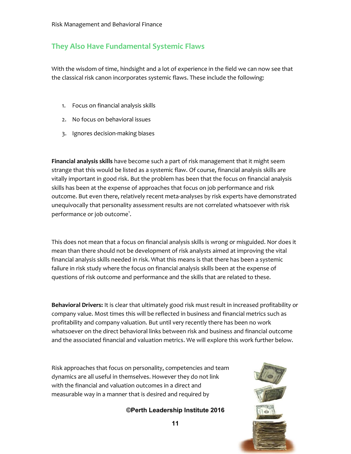# **They Also Have Fundamental Systemic Flaws**

With the wisdom of time, hindsight and a lot of experience in the field we can now see that the classical risk canon incorporates systemic flaws. These include the following:

- 1. Focus on financial analysis skills
- 2. No focus on behavioral issues
- 3. Ignores decision-making biases

**Financial analysis skills** have become such a part of risk management that it might seem strange that this would be listed as a systemic flaw. Of course, financial analysis skills are vitally important in good risk. But the problem has been that the focus on financial analysis skills has been at the expense of approaches that focus on job performance and risk outcome. But even there, relatively recent meta-analyses by risk experts have demonstrated unequivocally that personality assessment results are not correlated whatsoever with risk performance or job outcome<sup>1</sup>.

This does not mean that a focus on financial analysis skills is wrong or misguided. Nor does it mean than there should not be development of risk analysts aimed at improving the vital financial analysis skills needed in risk. What this means is that there has been a systemic failure in risk study where the focus on financial analysis skills been at the expense of questions of risk outcome and performance and the skills that are related to these.

**Behavioral Drivers:** It is clear that ultimately good risk must result in increased profitability or company value. Most times this will be reflected in business and financial metrics such as profitability and company valuation. But until very recently there has been no work whatsoever on the direct behavioral links between risk and business and financial outcome and the associated financial and valuation metrics. We will explore this work further below.

Risk approaches that focus on personality, competencies and team dynamics are all useful in themselves. However they do not link with the financial and valuation outcomes in a direct and measurable way in a manner that is desired and required by

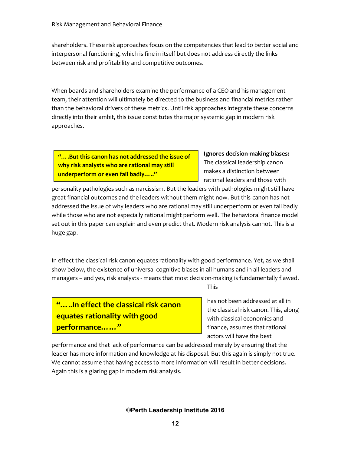shareholders. These risk approaches focus on the competencies that lead to better social and interpersonal functioning, which is fine in itself but does not address directly the links between risk and profitability and competitive outcomes.

When boards and shareholders examine the performance of a CEO and his management team, their attention will ultimately be directed to the business and financial metrics rather than the behavioral drivers of these metrics. Until risk approaches integrate these concerns directly into their ambit, this issue constitutes the major systemic gap in modern risk approaches.

**"….But this canon has not addressed the issue of why risk analysts who are rational may still underperform or even fail badly….."**

# **Ignores decision-making biases:** The classical leadership canon makes a distinction between rational leaders and those with

personality pathologies such as narcissism. But the leaders with pathologies might still have great financial outcomes and the leaders without them might now. But this canon has not addressed the issue of why leaders who are rational may still underperform or even fail badly while those who are not especially rational might perform well. The behavioral finance model set out in this paper can explain and even predict that. Modern risk analysis cannot. This is a huge gap.

In effect the classical risk canon equates rationality with good performance. Yet, as we shall show below, the existence of universal cognitive biases in all humans and in all leaders and managers – and yes, risk analysts - means that most decision-making is fundamentally flawed. This

**"…..In effect the classical risk canon equates rationality with good performance……"**

has not been addressed at all in the classical risk canon. This, along with classical economics and finance, assumes that rational actors will have the best

performance and that lack of performance can be addressed merely by ensuring that the leader has more information and knowledge at his disposal. But this again is simply not true. We cannot assume that having access to more information will result in better decisions. Again this is a glaring gap in modern risk analysis.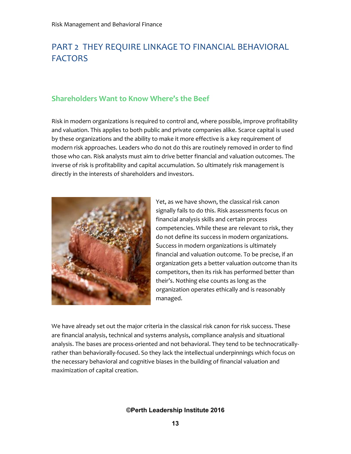# PART 2 THEY REQUIRE LINKAGE TO FINANCIAL BEHAVIORAL FACTORS

# **Shareholders Want to Know Where's the Beef**

Risk in modern organizations is required to control and, where possible, improve profitability and valuation. This applies to both public and private companies alike. Scarce capital is used by these organizations and the ability to make it more effective is a key requirement of modern risk approaches. Leaders who do not do this are routinely removed in order to find those who can. Risk analysts must aim to drive better financial and valuation outcomes. The inverse of risk is profitability and capital accumulation. So ultimately risk management is directly in the interests of shareholders and investors.



Yet, as we have shown, the classical risk canon signally fails to do this. Risk assessments focus on financial analysis skills and certain process competencies. While these are relevant to risk, they do not define its success in modern organizations. Success in modern organizations is ultimately financial and valuation outcome. To be precise, if an organization gets a better valuation outcome than its competitors, then its risk has performed better than their's. Nothing else counts as long as the organization operates ethically and is reasonably managed.

We have already set out the major criteria in the classical risk canon for risk success. These are financial analysis, technical and systems analysis, compliance analysis and situational analysis. The bases are process-oriented and not behavioral. They tend to be technocraticallyrather than behaviorally-focused. So they lack the intellectual underpinnings which focus on the necessary behavioral and cognitive biases in the building of financial valuation and maximization of capital creation.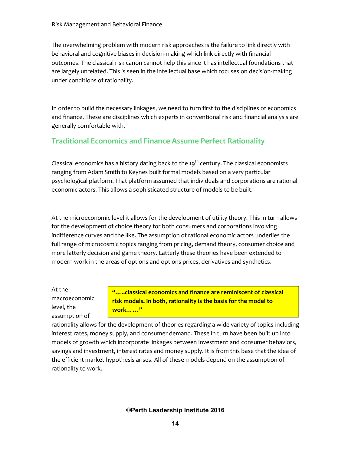The overwhelming problem with modern risk approaches is the failure to link directly with behavioral and cognitive biases in decision-making which link directly with financial outcomes. The classical risk canon cannot help this since it has intellectual foundations that are largely unrelated. This is seen in the intellectual base which focuses on decision-making under conditions of rationality.

In order to build the necessary linkages, we need to turn first to the disciplines of economics and finance. These are disciplines which experts in conventional risk and financial analysis are generally comfortable with.

# **Traditional Economics and Finance Assume Perfect Rationality**

Classical economics has a history dating back to the 19<sup>th</sup> century. The classical economists ranging from Adam Smith to Keynes built formal models based on a very particular psychological platform. That platform assumed that individuals and corporations are rational economic actors. This allows a sophisticated structure of models to be built.

At the microeconomic level it allows for the development of utility theory. This in turn allows for the development of choice theory for both consumers and corporations involving indifference curves and the like. The assumption of rational economic actors underlies the full range of microcosmic topics ranging from pricing, demand theory, consumer choice and more latterly decision and game theory. Latterly these theories have been extended to modern work in the areas of options and options prices, derivatives and synthetics.

#### At the

macroeconomic level, the assumption of

**"…..classical economics and finance are reminiscent of classical risk models. In both, rationality is the basis for the model to work……"**

rationality allows for the development of theories regarding a wide variety of topics including interest rates, money supply, and consumer demand. These in turn have been built up into models of growth which incorporate linkages between investment and consumer behaviors, savings and investment, interest rates and money supply. It is from this base that the idea of the efficient market hypothesis arises. All of these models depend on the assumption of rationality to work.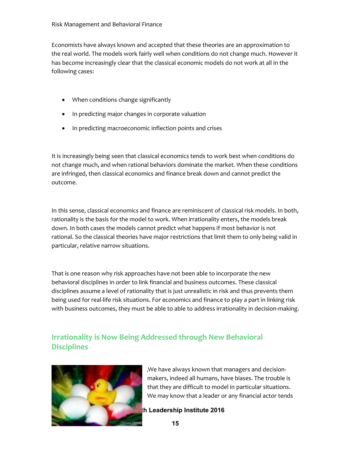Economists have always known and accepted that these theories are an approximation to the real world. The models work fairly well when conditions do not change much. However it has become increasingly clear that the classical economic models do not work at all in the following cases:

- When conditions change significantly
- In predicting major changes in corporate valuation
- In predicting macroeconomic inflection points and crises

It is increasingly being seen that classical economics tends to work best when conditions do not change much, and when rational behaviors dominate the market. When these conditions are infringed, then classical economics and finance break down and cannot predict the outcome.

In this sense, classical economics and finance are reminiscent of classical risk models. In both, rationality is the basis for the model to work. When irrationality enters, the models break down. In both cases the models cannot predict what happens if most behavior is not rational. So the classical theories have major restrictions that limit them to only being valid in particular, relative narrow situations.

That is one reason why risk approaches have not been able to incorporate the new behavioral disciplines in order to link financial and business outcomes. These classical disciplines assume a level of rationality that is just unrealistic in risk and thus prevents them being used for real-life risk situations. For economics and finance to play a part in linking risk with business outcomes, they must be able to able to address irrationality in decision-making.

# **Irrationality is Now Being Addressed through New Behavioral Disciplines**



We have always known that managers and decisionmakers, indeed all humans, have biases. The trouble is that they are difficult to model in particular situations. We may know that a leader or any financial actor tends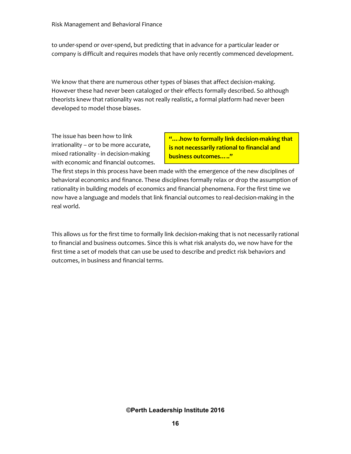to under-spend or over-spend, but predicting that in advance for a particular leader or company is difficult and requires models that have only recently commenced development.

We know that there are numerous other types of biases that affect decision-making. However these had never been cataloged or their effects formally described. So although theorists knew that rationality was not really realistic, a formal platform had never been developed to model those biases.

The issue has been how to link irrationality – or to be more accurate, mixed rationality - in decision-making with economic and financial outcomes.

**"….how to formally link decision-making that is not necessarily rational to financial and business outcomes….."**

The first steps in this process have been made with the emergence of the new disciplines of behavioral economics and finance. These disciplines formally relax or drop the assumption of rationality in building models of economics and financial phenomena. For the first time we now have a language and models that link financial outcomes to real-decision-making in the real world.

This allows us for the first time to formally link decision-making that is not necessarily rational to financial and business outcomes. Since this is what risk analysts do, we now have for the first time a set of models that can use be used to describe and predict risk behaviors and outcomes, in business and financial terms.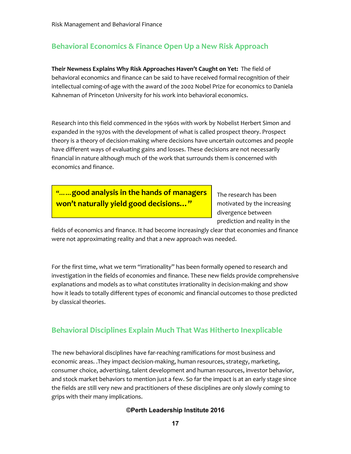# **Behavioral Economics & Finance Open Up a New Risk Approach**

**Their Newness Explains Why Risk Approaches Haven't Caught on Yet:** The field of behavioral economics and finance can be said to have received formal recognition of their intellectual coming-of-age with the award of the 2002 Nobel Prize for economics to Daniela Kahneman of Princeton University for his work into behavioral economics.

Research into this field commenced in the 1960s with work by Nobelist Herbert Simon and expanded in the 1970s with the development of what is called prospect theory. Prospect theory is a theory of decision-making where decisions have uncertain outcomes and people have different ways of evaluating gains and losses. These decisions are not necessarily financial in nature although much of the work that surrounds them is concerned with economics and finance.

**"……good analysis in the hands of managers won't naturally yield good decisions…"**

*McKinsey*

The research has been motivated by the increasing divergence between prediction and reality in the

fields of economics and finance. It had become increasingly clear that economies and finance were not approximating reality and that a new approach was needed.

For the first time, what we term "irrationality" has been formally opened to research and investigation in the fields of economies and finance. These new fields provide comprehensive explanations and models as to what constitutes irrationality in decision-making and show how it leads to totally different types of economic and financial outcomes to those predicted by classical theories.

# **Behavioral Disciplines Explain Much That Was Hitherto Inexplicable**

The new behavioral disciplines have far-reaching ramifications for most business and economic areas. .They impact decision-making, human resources, strategy, marketing, consumer choice, advertising, talent development and human resources, investor behavior, and stock market behaviors to mention just a few. So far the impact is at an early stage since the fields are still very new and practitioners of these disciplines are only slowly coming to grips with their many implications.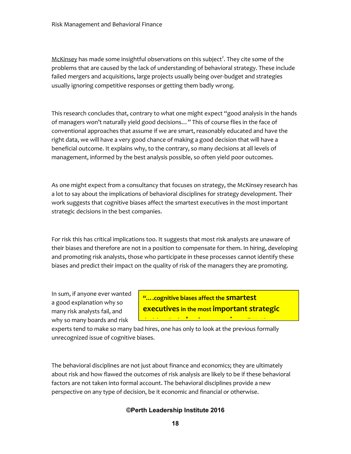McKinsey has made some insightful observations on this subject<sup>2</sup>. They cite some of the problems that are caused by the lack of understanding of behavioral strategy. These include failed mergers and acquisitions, large projects usually being over-budget and strategies usually ignoring competitive responses or getting them badly wrong.

This research concludes that, contrary to what one might expect "good analysis in the hands of managers won't naturally yield good decisions…" This of course flies in the face of conventional approaches that assume if we are smart, reasonably educated and have the right data, we will have a very good chance of making a good decision that will have a beneficial outcome. It explains why, to the contrary, so many decisions at all levels of management, informed by the best analysis possible, so often yield poor outcomes.

As one might expect from a consultancy that focuses on strategy, the McKinsey research has a lot to say about the implications of behavioral disciplines for strategy development. Their work suggests that cognitive biases affect the smartest executives in the most important strategic decisions in the best companies.

For risk this has critical implications too. It suggests that most risk analysts are unaware of their biases and therefore are not in a position to compensate for them. In hiring, developing and promoting risk analysts, those who participate in these processes cannot identify these biases and predict their impact on the quality of risk of the managers they are promoting.

In sum, if anyone ever wanted a good explanation why so many risk analysts fail, and why so many boards and risk

**"….cognitive biases affect the smartest executives in the most important strategic decisions in the best companies…." McKinsey**

experts tend to make so many bad hires, one has only to look at the previous formally unrecognized issue of cognitive biases.

The behavioral disciplines are not just about finance and economics; they are ultimately about risk and how flawed the outcomes of risk analysis are likely to be if these behavioral factors are not taken into formal account. The behavioral disciplines provide a new perspective on any type of decision, be it economic and financial or otherwise.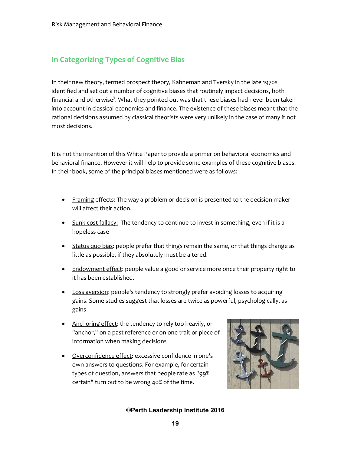# **In Categorizing Types of Cognitive Bias**

In their new theory, termed prospect theory, Kahneman and Tversky in the late 1970s identified and set out a number of cognitive biases that routinely impact decisions, both financial and otherwise<sup>3</sup>. What they pointed out was that these biases had never been taken into account in classical economics and finance. The existence of these biases meant that the rational decisions assumed by classical theorists were very unlikely in the case of many if not most decisions.

It is not the intention of this White Paper to provide a primer on behavioral economics and behavioral finance. However it will help to provide some examples of these cognitive biases. In their book, some of the principal biases mentioned were as follows:

- Framing effects: The way a problem or decision is presented to the decision maker will affect their action.
- Sunk cost fallacy: The tendency to continue to invest in something, even if it is a hopeless case
- Status quo bias: people prefer that things remain the same, or that things change as little as possible, if they absolutely must be altered.
- Endowment effect: people value a good or service more once their property right to it has been established.
- Loss aversion: people's tendency to strongly prefer avoiding losses to acquiring gains. Some studies suggest that losses are twice as powerful, psychologically, as gains
- Anchoring effect: the tendency to rely too heavily, or "anchor," on a past reference or on one trait or piece of information when making decisions
- Overconfidence effect: excessive confidence in one's own answers to questions. For example, for certain types of question, answers that people rate as "99% certain" turn out to be wrong 40% of the time.

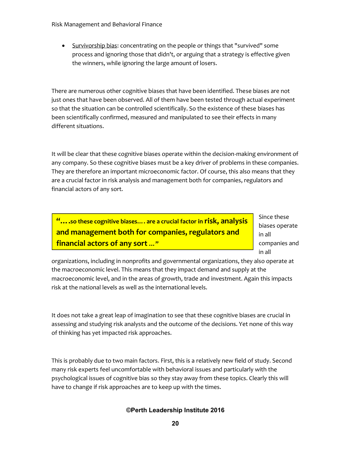**Survivorship bias:** concentrating on the people or things that "survived" some process and ignoring those that didn't, or arguing that a strategy is effective given the winners, while ignoring the large amount of losers.

There are numerous other cognitive biases that have been identified. These biases are not just ones that have been observed. All of them have been tested through actual experiment so that the situation can be controlled scientifically. So the existence of these biases has been scientifically confirmed, measured and manipulated to see their effects in many different situations.

It will be clear that these cognitive biases operate within the decision-making environment of any company. So these cognitive biases must be a key driver of problems in these companies. They are therefore an important microeconomic factor. Of course, this also means that they are a crucial factor in risk analysis and management both for companies, regulators and financial actors of any sort.

**"….so these cognitive biases…. are a crucial factor in risk, analysis and management both for companies, regulators and financial actors of any sort …"**

Since these biases operate in all companies and in all

organizations, including in nonprofits and governmental organizations, they also operate at the macroeconomic level. This means that they impact demand and supply at the macroeconomic level, and in the areas of growth, trade and investment. Again this impacts risk at the national levels as well as the international levels.

It does not take a great leap of imagination to see that these cognitive biases are crucial in assessing and studying risk analysts and the outcome of the decisions. Yet none of this way of thinking has yet impacted risk approaches.

This is probably due to two main factors. First, this is a relatively new field of study. Second many risk experts feel uncomfortable with behavioral issues and particularly with the psychological issues of cognitive bias so they stay away from these topics. Clearly this will have to change if risk approaches are to keep up with the times.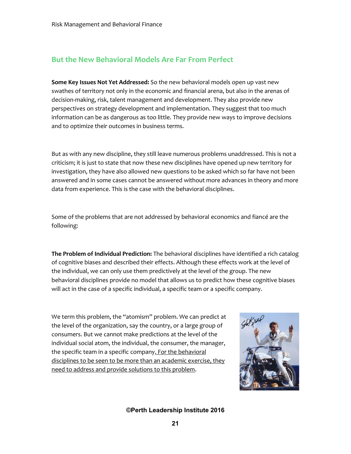# **But the New Behavioral Models Are Far From Perfect**

**Some Key Issues Not Yet Addressed:** So the new behavioral models open up vast new swathes of territory not only in the economic and financial arena, but also in the arenas of decision-making, risk, talent management and development. They also provide new perspectives on strategy development and implementation. They suggest that too much information can be as dangerous as too little. They provide new ways to improve decisions and to optimize their outcomes in business terms.

But as with any new discipline, they still leave numerous problems unaddressed. This is not a criticism; it is just to state that now these new disciplines have opened up new territory for investigation, they have also allowed new questions to be asked which so far have not been answered and in some cases cannot be answered without more advances in theory and more data from experience. This is the case with the behavioral disciplines.

Some of the problems that are not addressed by behavioral economics and fiancé are the following:

**The Problem of Individual Prediction:** The behavioral disciplines have identified a rich catalog of cognitive biases and described their effects. Although these effects work at the level of the individual, we can only use them predictively at the level of the group. The new behavioral disciplines provide no model that allows us to predict how these cognitive biases will act in the case of a specific individual, a specific team or a specific company.

We term this problem, the "atomism" problem. We can predict at the level of the organization, say the country, or a large group of consumers. But we cannot make predictions at the level of the individual social atom, the individual, the consumer, the manager, the specific team in a specific company. For the behavioral disciplines to be seen to be more than an academic exercise, they need to address and provide solutions to this problem.

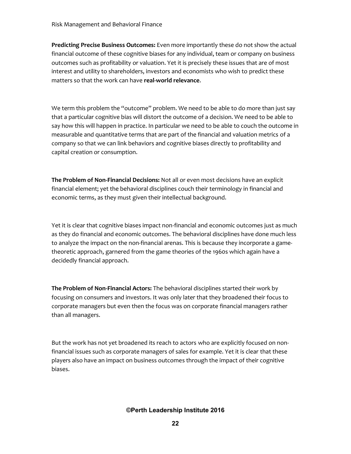**Predicting Precise Business Outcomes:** Even more importantly these do not show the actual financial outcome of these cognitive biases for any individual, team or company on business outcomes such as profitability or valuation. Yet it is precisely these issues that are of most interest and utility to shareholders, investors and economists who wish to predict these matters so that the work can have **real-world relevance**.

We term this problem the "outcome" problem. We need to be able to do more than just say that a particular cognitive bias will distort the outcome of a decision. We need to be able to say how this will happen in practice. In particular we need to be able to couch the outcome in measurable and quantitative terms that are part of the financial and valuation metrics of a company so that we can link behaviors and cognitive biases directly to profitability and capital creation or consumption.

**The Problem of Non-Financial Decisions:** Not all or even most decisions have an explicit financial element; yet the behavioral disciplines couch their terminology in financial and economic terms, as they must given their intellectual background.

Yet it is clear that cognitive biases impact non-financial and economic outcomes just as much as they do financial and economic outcomes. The behavioral disciplines have done much less to analyze the impact on the non-financial arenas. This is because they incorporate a gametheoretic approach, garnered from the game theories of the 1960s which again have a decidedly financial approach.

**The Problem of Non-Financial Actors:** The behavioral disciplines started their work by focusing on consumers and investors. It was only later that they broadened their focus to corporate managers but even then the focus was on corporate financial managers rather than all managers.

But the work has not yet broadened its reach to actors who are explicitly focused on nonfinancial issues such as corporate managers of sales for example. Yet it is clear that these players also have an impact on business outcomes through the impact of their cognitive biases.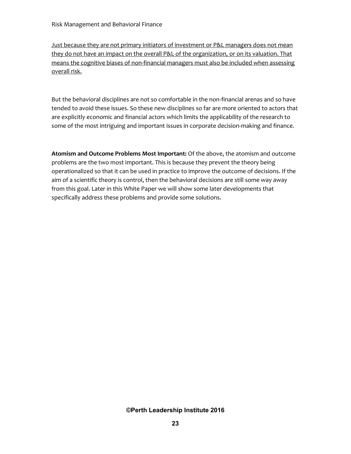Just because they are not primary initiators of investment or P&L managers does not mean they do not have an impact on the overall P&L of the organization, or on its valuation. That means the cognitive biases of non-financial managers must also be included when assessing overall risk.

But the behavioral disciplines are not so comfortable in the non-financial arenas and so have tended to avoid these issues. So these new disciplines so far are more oriented to actors that are explicitly economic and financial actors which limits the applicability of the research to some of the most intriguing and important issues in corporate decision-making and finance.

**Atomism and Outcome Problems Most Important:** Of the above, the atomism and outcome problems are the two most important. This is because they prevent the theory being operationalized so that it can be used in practice to improve the outcome of decisions. If the aim of a scientific theory is control, then the behavioral decisions are still some way away from this goal. Later in this White Paper we will show some later developments that specifically address these problems and provide some solutions.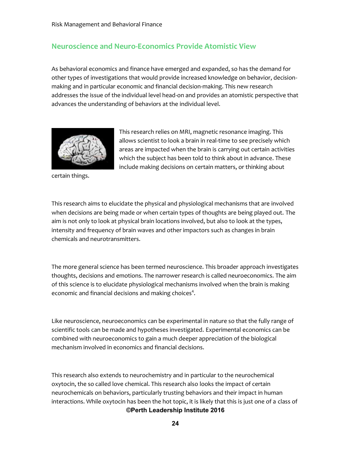# **Neuroscience and Neuro-Economics Provide Atomistic View**

As behavioral economics and finance have emerged and expanded, so has the demand for other types of investigations that would provide increased knowledge on behavior, decisionmaking and in particular economic and financial decision-making. This new research addresses the issue of the individual level head-on and provides an atomistic perspective that advances the understanding of behaviors at the individual level.



This research relies on MRI, magnetic resonance imaging. This allows scientist to look a brain in real-time to see precisely which areas are impacted when the brain is carrying out certain activities which the subject has been told to think about in advance. These include making decisions on certain matters, or thinking about

certain things.

This research aims to elucidate the physical and physiological mechanisms that are involved when decisions are being made or when certain types of thoughts are being played out. The aim is not only to look at physical brain locations involved, but also to look at the types, intensity and frequency of brain waves and other impactors such as changes in brain chemicals and neurotransmitters.

The more general science has been termed neuroscience. This broader approach investigates thoughts, decisions and emotions. The narrower research is called neuroeconomics. The aim of this science is to elucidate physiological mechanisms involved when the brain is making economic and financial decisions and making choices<sup>4</sup>.

Like neuroscience, neuroeconomics can be experimental in nature so that the fully range of scientific tools can be made and hypotheses investigated. Experimental economics can be combined with neuroeconomics to gain a much deeper appreciation of the biological mechanism involved in economics and financial decisions.

**©Perth Leadership Institute 2016** This research also extends to neurochemistry and in particular to the neurochemical oxytocin, the so called love chemical. This research also looks the impact of certain neurochemicals on behaviors, particularly trusting behaviors and their impact in human interactions. While oxytocin has been the hot topic, it is likely that this is just one of a class of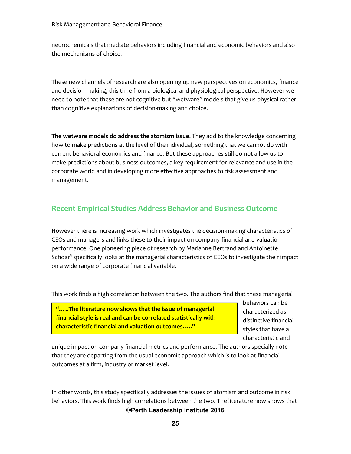neurochemicals that mediate behaviors including financial and economic behaviors and also the mechanisms of choice.

These new channels of research are also opening up new perspectives on economics, finance and decision-making, this time from a biological and physiological perspective. However we need to note that these are not cognitive but "wetware" models that give us physical rather than cognitive explanations of decision-making and choice.

**The wetware models do address the atomism issue**. They add to the knowledge concerning how to make predictions at the level of the individual, something that we cannot do with current behavioral economics and finance. But these approaches still do not allow us to make predictions about business outcomes, a key requirement for relevance and use in the corporate world and in developing more effective approaches to risk assessment and management.

# **Recent Empirical Studies Address Behavior and Business Outcome**

However there is increasing work which investigates the decision-making characteristics of CEOs and managers and links these to their impact on company financial and valuation performance. One pioneering piece of research by Marianne Bertrand and Antoinette Schoar<sup>5</sup> specifically looks at the managerial characteristics of CEOs to investigate their impact on a wide range of corporate financial variable.

This work finds a high correlation between the two. The authors find that these managerial

**"…..The literature now shows that the issue of managerial financial style is real and can be correlated statistically with characteristic financial and valuation outcomes….."**

behaviors can be characterized as distinctive financial styles that have a characteristic and

unique impact on company financial metrics and performance. The authors specially note that they are departing from the usual economic approach which is to look at financial outcomes at a firm, industry or market level.

**©Perth Leadership Institute 2016** In other words, this study specifically addresses the issues of atomism and outcome in risk behaviors. This work finds high correlations between the two. The literature now shows that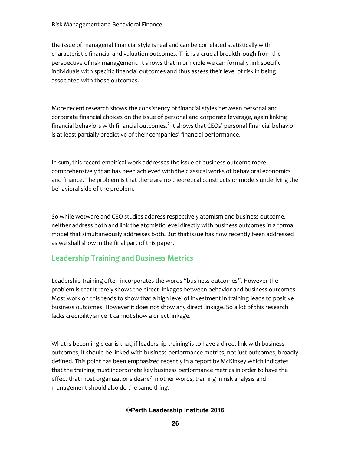the issue of managerial financial style is real and can be correlated statistically with characteristic financial and valuation outcomes. This is a crucial breakthrough from the perspective of risk management. It shows that in principle we can formally link specific individuals with specific financial outcomes and thus assess their level of risk in being associated with those outcomes.

More recent research shows the consistency of financial styles between personal and corporate financial choices on the issue of personal and corporate leverage, again linking financial behaviors with financial outcomes. $^{\rm 6}$  It shows that CEOs' personal financial behavior is at least partially predictive of their companies' financial performance.

In sum, this recent empirical work addresses the issue of business outcome more comprehensively than has been achieved with the classical works of behavioral economics and finance. The problem is that there are no theoretical constructs or models underlying the behavioral side of the problem.

So while wetware and CEO studies address respectively atomism and business outcome, neither address both and link the atomistic level directly with business outcomes in a formal model that simultaneously addresses both. But that issue has now recently been addressed as we shall show in the final part of this paper.

# **Leadership Training and Business Metrics**

Leadership training often incorporates the words "business outcomes". However the problem is that it rarely shows the direct linkages between behavior and business outcomes. Most work on this tends to show that a high level of investment in training leads to positive business outcomes. However it does not show any direct linkage. So a lot of this research lacks credibility since it cannot show a direct linkage.

What is becoming clear is that, if leadership training is to have a direct link with business outcomes, it should be linked with business performance metrics, not just outcomes, broadly defined. This point has been emphasized recently in a report by McKinsey which indicates that the training must incorporate key business performance metrics in order to have the effect that most organizations desire<sup>7</sup> In other words, training in risk analysis and management should also do the same thing.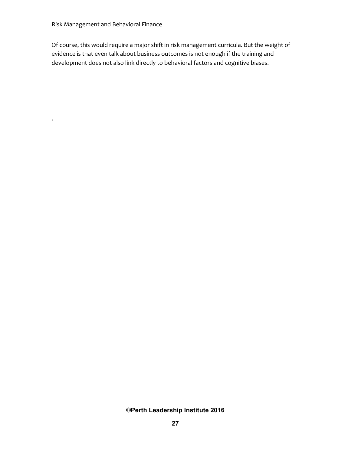.

Of course, this would require a major shift in risk management curricula. But the weight of evidence is that even talk about business outcomes is not enough if the training and development does not also link directly to behavioral factors and cognitive biases.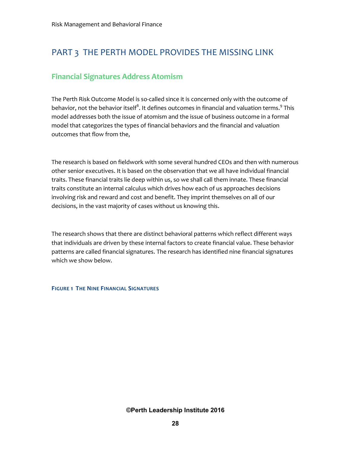# PART 3 THE PERTH MODEL PROVIDES THE MISSING LINK

# **Financial Signatures Address Atomism**

The Perth Risk Outcome Model is so-called since it is concerned only with the outcome of behavior, not the behavior itself $^8$ . It defines outcomes in financial and valuation terms. $^9$  This model addresses both the issue of atomism and the issue of business outcome in a formal model that categorizes the types of financial behaviors and the financial and valuation outcomes that flow from the,

The research is based on fieldwork with some several hundred CEOs and then with numerous other senior executives. It is based on the observation that we all have individual financial traits. These financial traits lie deep within us, so we shall call them innate. These financial traits constitute an internal calculus which drives how each of us approaches decisions involving risk and reward and cost and benefit. They imprint themselves on all of our decisions, in the vast majority of cases without us knowing this.

The research shows that there are distinct behavioral patterns which reflect different ways that individuals are driven by these internal factors to create financial value. These behavior patterns are called financial signatures. The research has identified nine financial signatures which we show below.

**FIGURE 1 THE NINE FINANCIAL SIGNATURES**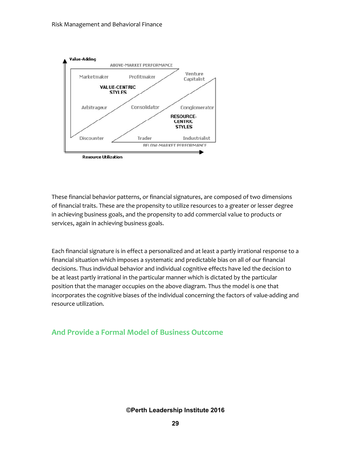

These financial behavior patterns, or financial signatures, are composed of two dimensions of financial traits. These are the propensity to utilize resources to a greater or lesser degree in achieving business goals, and the propensity to add commercial value to products or services, again in achieving business goals.

Each financial signature is in effect a personalized and at least a partly irrational response to a financial situation which imposes a systematic and predictable bias on all of our financial decisions. Thus individual behavior and individual cognitive effects have led the decision to be at least partly irrational in the particular manner which is dictated by the particular position that the manager occupies on the above diagram. Thus the model is one that incorporates the cognitive biases of the individual concerning the factors of value-adding and resource utilization.

# **And Provide a Formal Model of Business Outcome**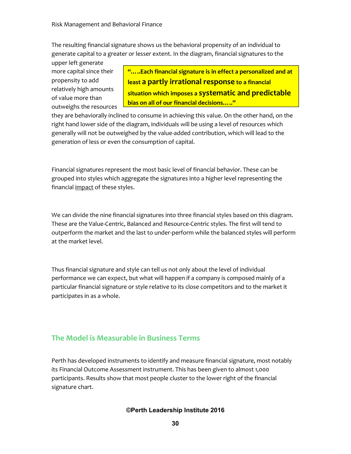The resulting financial signature shows us the behavioral propensity of an individual to generate capital to a greater or lesser extent. In the diagram, financial signatures to the

upper left generate more capital since their propensity to add relatively high amounts of value more than outweighs the resources

**"…..Each financial signature is in effect a personalized and at least a partly irrational response to a financial situation which imposes a systematic and predictable bias on all of our financial decisions….."**

they are behaviorally inclined to consume in achieving this value. On the other hand, on the right hand lower side of the diagram, individuals will be using a level of resources which generally will not be outweighed by the value-added contribution, which will lead to the generation of less or even the consumption of capital.

Financial signatures represent the most basic level of financial behavior. These can be grouped into styles which aggregate the signatures into a higher level representing the financial impact of these styles.

We can divide the nine financial signatures into three financial styles based on this diagram. These are the Value-Centric, Balanced and Resource-Centric styles. The first will tend to outperform the market and the last to under-perform while the balanced styles will perform at the market level.

Thus financial signature and style can tell us not only about the level of individual performance we can expect, but what will happen if a company is composed mainly of a particular financial signature or style relative to its close competitors and to the market it participates in as a whole.

# **The Model is Measurable in Business Terms**

Perth has developed instruments to identify and measure financial signature, most notably its Financial Outcome Assessment instrument. This has been given to almost 1,000 participants. Results show that most people cluster to the lower right of the financial signature chart.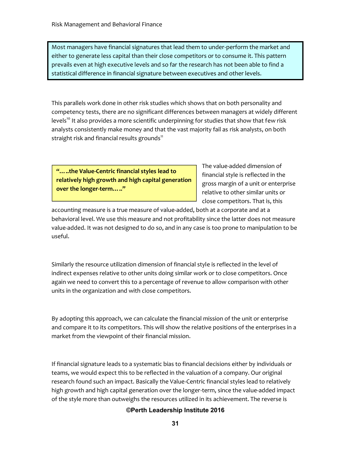Most managers have financial signatures that lead them to under-perform the market and either to generate less capital than their close competitors or to consume it. This pattern prevails even at high executive levels and so far the research has not been able to find a statistical difference in financial signature between executives and other levels.

This parallels work done in other risk studies which shows that on both personality and competency tests, there are no significant differences between managers at widely different levels<sup>10</sup> It also provides a more scientific underpinning for studies that show that few risk analysts consistently make money and that the vast majority fail as risk analysts, on both straight risk and financial results grounds $11$ 

**"…..the Value-Centric financial styles lead to relatively high growth and high capital generation over the longer-term….."**

The value-added dimension of financial style is reflected in the gross margin of a unit or enterprise relative to other similar units or close competitors. That is, this

accounting measure is a true measure of value-added, both at a corporate and at a behavioral level. We use this measure and not profitability since the latter does not measure value-added. It was not designed to do so, and in any case is too prone to manipulation to be useful.

Similarly the resource utilization dimension of financial style is reflected in the level of indirect expenses relative to other units doing similar work or to close competitors. Once again we need to convert this to a percentage of revenue to allow comparison with other units in the organization and with close competitors.

By adopting this approach, we can calculate the financial mission of the unit or enterprise and compare it to its competitors. This will show the relative positions of the enterprises in a market from the viewpoint of their financial mission.

If financial signature leads to a systematic bias to financial decisions either by individuals or teams, we would expect this to be reflected in the valuation of a company. Our original research found such an impact. Basically the Value-Centric financial styles lead to relatively high growth and high capital generation over the longer-term, since the value-added impact of the style more than outweighs the resources utilized in its achievement. The reverse is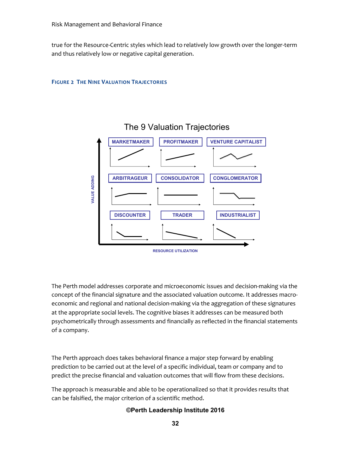true for the Resource-Centric styles which lead to relatively low growth over the longer-term and thus relatively low or negative capital generation.

#### **FIGURE 2 THE NINE VALUATION TRAJECTORIES**



# The 9 Valuation Trajectories

The Perth model addresses corporate and microeconomic issues and decision-making via the concept of the financial signature and the associated valuation outcome. It addresses macroeconomic and regional and national decision-making via the aggregation of these signatures at the appropriate social levels. The cognitive biases it addresses can be measured both psychometrically through assessments and financially as reflected in the financial statements of a company.

The Perth approach does takes behavioral finance a major step forward by enabling prediction to be carried out at the level of a specific individual, team or company and to predict the precise financial and valuation outcomes that will flow from these decisions.

The approach is measurable and able to be operationalized so that it provides results that can be falsified, the major criterion of a scientific method.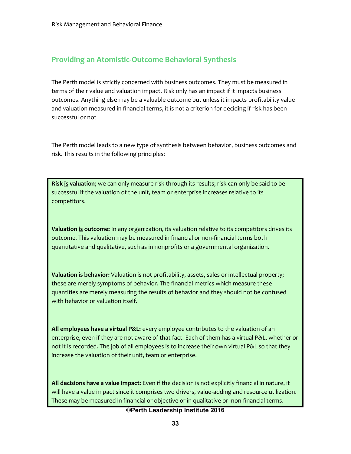# **Providing an Atomistic-Outcome Behavioral Synthesis**

The Perth model is strictly concerned with business outcomes. They must be measured in terms of their value and valuation impact. Risk only has an impact if it impacts business outcomes. Anything else may be a valuable outcome but unless it impacts profitability value and valuation measured in financial terms, it is not a criterion for deciding if risk has been successful or not

The Perth model leads to a new type of synthesis between behavior, business outcomes and risk. This results in the following principles:

**Risk is valuation**; we can only measure risk through its results; risk can only be said to be successful if the valuation of the unit, team or enterprise increases relative to its competitors.

**Valuation is outcome:** In any organization, its valuation relative to its competitors drives its outcome. This valuation may be measured in financial or non-financial terms both quantitative and qualitative, such as in nonprofits or a governmental organization.

**Valuation is behavior:** Valuation is not profitability, assets, sales or intellectual property; these are merely symptoms of behavior. The financial metrics which measure these quantities are merely measuring the results of behavior and they should not be confused with behavior or valuation itself.

**All employees have a virtual P&L:** every employee contributes to the valuation of an enterprise, even if they are not aware of that fact. Each of them has a virtual P&L, whether or not it is recorded. The job of all employees is to increase their own virtual P&L so that they increase the valuation of their unit, team or enterprise.

**All decisions have a value impact:** Even if the decision is not explicitly financial in nature, it will have a value impact since it comprises two drivers, value-adding and resource utilization. These may be measured in financial or objective or in qualitative or non-financial terms.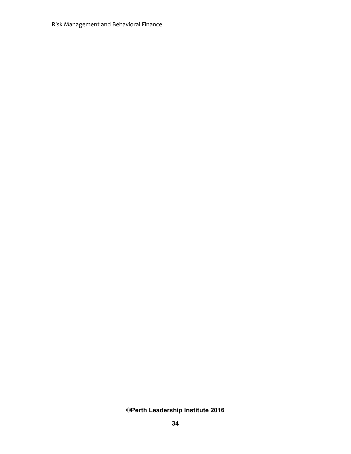Risk Management and Behavioral Finance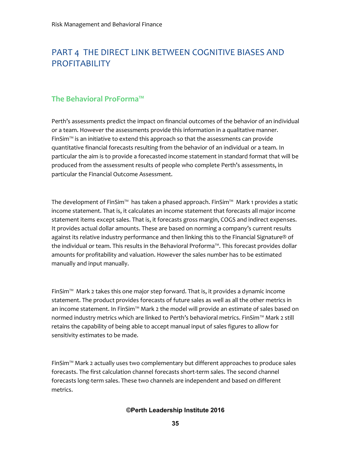# PART 4 THE DIRECT LINK BETWEEN COGNITIVE BIASES AND PROFITABILITY

# **The Behavioral ProForma™**

Perth's assessments predict the impact on financial outcomes of the behavior of an individual or a team. However the assessments provide this information in a qualitative manner. FinSim™ is an initiative to extend this approach so that the assessments can provide quantitative financial forecasts resulting from the behavior of an individual or a team. In particular the aim is to provide a forecasted income statement in standard format that will be produced from the assessment results of people who complete Perth's assessments, in particular the Financial Outcome Assessment.

The development of FinSim™ has taken a phased approach. FinSim™ Mark 1 provides a static income statement. That is, it calculates an income statement that forecasts all major income statement items except sales. That is, it forecasts gross margin, COGS and indirect expenses. It provides actual dollar amounts. These are based on norming a company's current results against its relative industry performance and then linking this to the Financial Signature® of the individual or team. This results in the Behavioral Proforma™. This forecast provides dollar amounts for profitability and valuation. However the sales number has to be estimated manually and input manually.

FinSim™ Mark 2 takes this one major step forward. That is, it provides a dynamic income statement. The product provides forecasts of future sales as well as all the other metrics in an income statement. In FinSim™ Mark 2 the model will provide an estimate of sales based on normed industry metrics which are linked to Perth's behavioral metrics. FinSim™ Mark 2 still retains the capability of being able to accept manual input of sales figures to allow for sensitivity estimates to be made.

FinSim™ Mark 2 actually uses two complementary but different approaches to produce sales forecasts. The first calculation channel forecasts short-term sales. The second channel forecasts long-term sales. These two channels are independent and based on different metrics.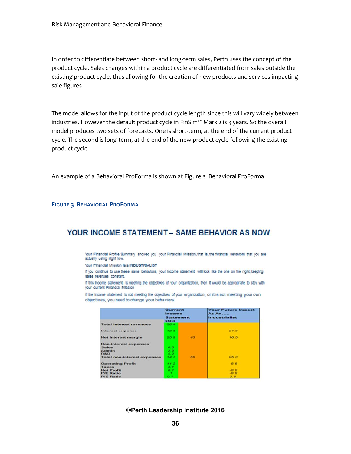In order to differentiate between short- and long-term sales, Perth uses the concept of the product cycle. Sales changes within a product cycle are differentiated from sales outside the existing product cycle, thus allowing for the creation of new products and services impacting sale figures.

The model allows for the input of the product cycle length since this will vary widely between industries. However the default product cycle in FinSim™ Mark 2 is 3 years. So the overall model produces two sets of forecasts. One is short-term, at the end of the current product cycle. The second is long-term, at the end of the new product cycle following the existing product cycle.

An example of a Behavioral ProForma is shown at Figure 3 Behavioral ProForma

#### **FIGURE 3 BEHAVIORAL PROFORMA**

# YOUR INCOME STATEMENT - SAME BEHAVIOR AS NOW

Your Financial Profile Summary showed you your Financial Mission, that is, the financial behaviors that you are actually using right now.

Your Financial Mission is a INDUSTRIALIST

If you continue to use these same behaviors, your income statement will look like the one on the right, keeping sales revenues constant.

If this income statement is meeting the objectives of your organization, then it would be appropriate to stay with your current Financial Mission

if the income statement is not meeting the objectives of your organization, or it is not meeting your own objectives, you need to change your behaviors.

|                                    | Current<br>Income<br><b>Statement</b><br>SMM |    | <b>Your Future Impact</b><br><b>As An</b><br>Industrialist |  |  |  |  |
|------------------------------------|----------------------------------------------|----|------------------------------------------------------------|--|--|--|--|
| <b>Total interest revenues</b>     | 38.4                                         |    |                                                            |  |  |  |  |
| <b>Interest expense</b>            | 32.5                                         |    | 24.9                                                       |  |  |  |  |
| <b>Net interest margin</b>         | 25.9                                         | 43 | 16.5                                                       |  |  |  |  |
| <b>Non-interest expenses</b>       |                                              |    |                                                            |  |  |  |  |
| Salos                              | 6.6                                          |    |                                                            |  |  |  |  |
| Admin                              | 29                                           |    |                                                            |  |  |  |  |
| <b>R&amp;D</b>                     | $5.2^{1}$                                    |    |                                                            |  |  |  |  |
| <b>Total non-interest expenses</b> | 14.7                                         | 66 | 25.3                                                       |  |  |  |  |
| <b>Operating Profit</b>            | 11.2                                         |    | $-8.8$                                                     |  |  |  |  |
| Taxes                              | 3.1                                          |    |                                                            |  |  |  |  |
| <b>Not Profit</b>                  | 8.1                                          |    | $-8.8$                                                     |  |  |  |  |
| <b>P/E Ratio</b>                   | ٠                                            |    | $-43.43$                                                   |  |  |  |  |
| <b>P/S Ratio</b>                   | O.1                                          |    | 3.8                                                        |  |  |  |  |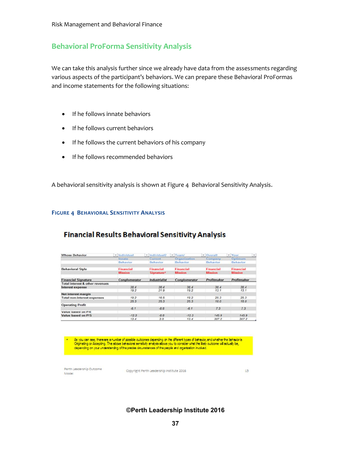# **Behavioral ProForma Sensitivity Analysis**

We can take this analysis further since we already have data from the assessments regarding various aspects of the participant's behaviors. We can prepare these Behavioral ProFormas and income statements for the following situations:

- If he follows innate behaviors
- If he follows current behaviors
- If he follows the current behaviors of his company
- If he follows recommended behaviors

A behavioral sensitivity analysis is shown at Figure 4 Behavioral Sensitivity Analysis.

#### **FIGURE 4 BEHAVIORAL SENSITIVITY ANALYSIS**

# **Financial Results Behavioral Sensitivity Analysis**

| <b>Whose Behavior</b>              |               | v Individual     |                         | * Individual?          |         | <b>v</b> Team/   | v Overall        |  | * Your           | $\mathcal{L}$ |
|------------------------------------|---------------|------------------|-------------------------|------------------------|---------|------------------|------------------|--|------------------|---------------|
|                                    | <b>Innato</b> |                  | Organization<br>Current |                        | Company |                  | <b>Optimum</b>   |  |                  |               |
|                                    |               | Behavior         |                         | Behavior               |         | Behavior         | Behavior         |  | Behavior         |               |
| <b>Behavioral Style</b>            |               | <b>Financial</b> |                         | <b>Financial</b>       |         | <b>Financial</b> | <b>Financial</b> |  | <b>Financial</b> |               |
|                                    |               | <b>Mission</b>   |                         | Signature <sup>®</sup> |         | <b>Mission</b>   | <b>Mission</b>   |  | <b>Mission</b>   |               |
| <b>Financial Signature</b>         |               | Conglomerator    |                         | <b>Industrialist</b>   |         | Conglomerator    | Profitmaker      |  | Profitmaker      |               |
| Total interest & other revenues    |               |                  |                         |                        |         |                  |                  |  |                  |               |
| Interest expense                   |               | 38.4             |                         | 38.4                   |         | 38.4             | 38.4             |  | 38.4             |               |
|                                    |               | 19.2             |                         | 21.9                   |         | 19.2             | 13.1             |  | 13.1             |               |
| Net interest margin                |               |                  |                         |                        |         |                  |                  |  |                  |               |
| <b>Total non-interest expenses</b> |               | 19.2             |                         | 16.5                   |         | 19.2             | 25.3             |  | 25.3             |               |
|                                    |               | 25.3             |                         | 25.3                   |         | 25.3             | 18.0             |  | 18.0             |               |
| <b>Operating Profit</b>            |               |                  |                         |                        |         |                  |                  |  |                  |               |
|                                    |               | $-6.1$           |                         | $-8.8$                 |         | $-6.1$           | 7.3              |  | 7.3              |               |
| Value based on P/E                 |               |                  |                         |                        |         |                  |                  |  |                  |               |
| Value based on P/S                 |               | $-12.3$          |                         | $-8.8$                 |         | $-12.3$          | 1459             |  | 1459             |               |
|                                    |               | 13.4             |                         | 3.8                    |         | 13.4             | 307.2            |  | 307.2            |               |

.<br>As you can see, there are a number of possible outcomes deperding on the different types of behalor, and whether the behalor is<br>Originating or Accepting. The above behalioral sensitivity analysis allows you to consider w depending on your understanding of the precise circumstances of the people and arganization involved.

Perth Leadership Outcome Model

Copyright Perth Leadership Institute 2016

 $15$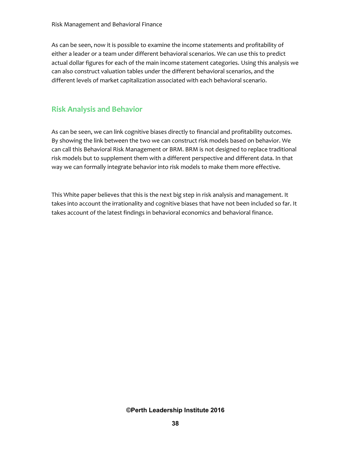As can be seen, now it is possible to examine the income statements and profitability of either a leader or a team under different behavioral scenarios. We can use this to predict actual dollar figures for each of the main income statement categories. Using this analysis we can also construct valuation tables under the different behavioral scenarios, and the different levels of market capitalization associated with each behavioral scenario.

# **Risk Analysis and Behavior**

As can be seen, we can link cognitive biases directly to financial and profitability outcomes. By showing the link between the two we can construct risk models based on behavior. We can call this Behavioral Risk Management or BRM. BRM is not designed to replace traditional risk models but to supplement them with a different perspective and different data. In that way we can formally integrate behavior into risk models to make them more effective.

This White paper believes that this is the next big step in risk analysis and management. It takes into account the irrationality and cognitive biases that have not been included so far. It takes account of the latest findings in behavioral economics and behavioral finance.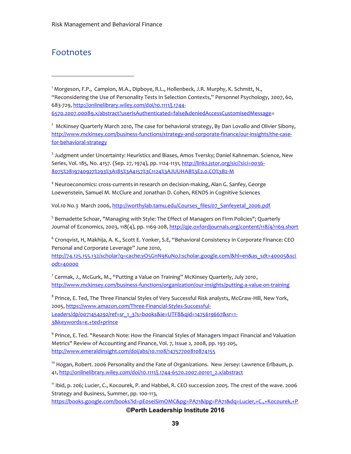# Footnotes

 $1$  Morgeson, F.P., Campion, M.A., Dipboye, R.L., Hollenbeck, J.R. Murphy, K. Schmitt, N., "Reconsidering the Use of Personality Tests In Selection Contexts," Personnel Psychology, 2007, 60, 683-729, http://onlinelibrary.wiley.com/doi/10.1111/j.1744- 6570.2007.00089.x/abstract?userIsAuthenticated=false&deniedAccessCustomisedMessage=

 $2$  McKinsey Quarterly March 2010, The case for behavioral strategy, By Dan Lovallo and Olivier Sibony, http://www.mckinsey.com/business-functions/strategy-and-corporate-finance/our-insights/the-casefor-behavioral-strategy

 $^3$  Judgment under Uncertainty: Heuristics and Biases, Amos Tversky; Daniel Kahneman. Science, New Series, Vol. 185, No. 4157. (Sep. 27, 1974), pp. 1124-1131, http://links.jstor.org/sici?sici=0036-8075%2819740927%293%3A185%3A4157%3C1124%3AJUUHAB%3E2.0.CO%3B2-M

<sup>4</sup> Neuroeconomics: cross-currents in research on decision-making, Alan G. Sanfey, George Loewenstein, Samuel M. McClure and Jonathan D. Cohen, RENDS in Cognitive Sciences

Vol.10 No.3 March 2006, http://worthylab.tamu.edu/Courses\_files/07\_Sanfeyetal\_2006.pdf

 $^5$  Bernadette Schoar, "Managing with Style: The Effect of Managers on Firm Policies"; Quarterly Journal of Economics, 2003, 118(4), pp. 1169-208, http://qje.oxfordjournals.org/content/118/4/1169.short

 $^6$  Cronqvist, H, Makhija, A. K., Scott E. Yonker, S.E, "Behavioral Consistency in Corporate Finance: CEO Personal and Corporate Leverage" June 2010,

http://74.125.155.132/scholar?q=cache:yO5GnN9KuNoJ:scholar.google.com/&hl=en&as\_sdt=40005&sci odt=40000

 $^7$  Cermak, J., McGurk, M., "Putting a Value on Training" McKinsey Quarterly, July 2010, http://www.mckinsey.com/business-functions/organization/our-insights/putting-a-value-on-training

 $^8$  Prince, E. Ted, The Three Financial Styles of Very Successful Risk analysts, McGraw-Hill, New York, 2005, https://www.amazon.com/Three-Financial-Styles-Successful-Leaders/dp/0071454292/ref=sr\_1\_3?s=books&ie=UTF8&qid=1475619667&sr=1- 3&keywords=e.+ted+prince

<sup>9</sup> Prince, E. Ted. "Research Note: How the Financial Styles of Managers Impact Financial and Valuation Metrics" Review of Accounting and Finance, Vol. 7, Issue 2, 2008, pp. 193-205, http://www.emeraldinsight.com/doi/abs/10.1108/14757700810874155

<sup>10</sup> Hogan, Robert. 2006 Personality and the Fate of Organizations. New Jersey: Lawrence Erlbaum, p. 41, http://onlinelibrary.wiley.com/doi/10.1111/j.1744-6570.2007.00101\_2.x/abstract

<sup>11</sup> Ibid, p. 206; Lucier, C., Kocourek, P. and Habbel, R. CEO succession 2005. The crest of the wave. 2006 Strategy and Business, Summer, pp. 100-113,

https://books.google.com/books?id=pE0seiSimOMC&pg=PA71&lpg=PA71&dq=Lucier,+C.,+Kocourek,+P